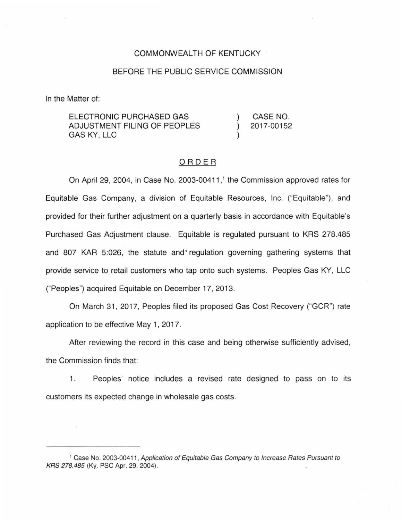### COMMONWEALTH OF KENTUCKY

### BEFORE THE PUBLIC SERVICE COMMISSION

In the Matter of:

| ELECTRONIC PURCHASED GAS     | CASE NO.   |
|------------------------------|------------|
| ADJUSTMENT FILING OF PEOPLES | 2017-00152 |
| GAS KY. LLC                  |            |

#### ORDER

On April 29, 2004, in Case No. 2003-00411, <sup>1</sup>the Commission approved rates for Equitable Gas Company, a division of Equitable Resources, Inc. ("Equitable"), and provided for their further adjustment on a quarterly basis in accordance with Equitable's Purchased Gas Adjustment clause. Equitable is regulated pursuant to KRS 278.485 and 807 KAR 5:026, the statute and regulation governing gathering systems that provide service to retail customers who tap onto such systems. Peoples Gas KY, LLC ("Peoples") acquired Equitable on December 17, 2013.

On March 31 , 2017, Peoples filed its proposed Gas Cost Recovery ("GCR") rate application to be effective May 1, 2017.

After reviewing the record in this case and being otherwise sufficiently advised, the Commission finds that:

1. Peoples' notice includes a revised rate designed to pass on to its customers its expected change in wholesale gas costs.

<sup>1</sup>Case No. 2003-00411, Application of Equitable Gas Company to Increase Rates Pursuant to KRS 278.485 (Ky. PSC Apr. 29, 2004).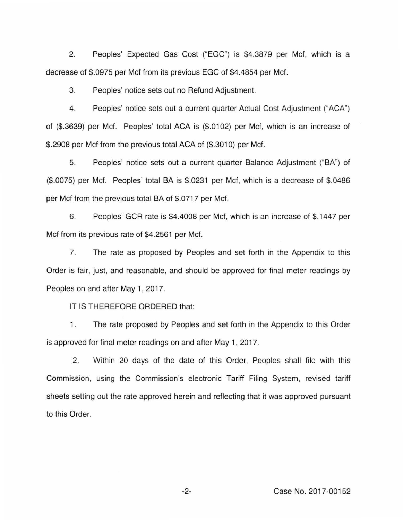2. Peoples' Expected Gas Cost ("EGC") is \$4.3879 per Mcf, which is a decrease of \$.0975 per Mcf from its previous EGC of \$4.4854 per Mcf.

3. Peoples' notice sets out no Refund Adjustment.

4. Peoples' notice sets out a current quarter Actual Cost Adjustment ("ACA") of (\$.3639) per Mcf. Peoples' total ACA is (\$.01 02) per Mcf, which is an increase of \$.2908 per Mcf from the previous total ACA of (\$.3010) per Mcf.

5. Peoples' notice sets out a current quarter Balance Adjustment ("BA") of (\$.0075) per Mcf. Peoples' total BA is \$.0231 per Mcf, which is a decrease of \$.0486 per Mcf from the previous total BA of \$.0717 per Mcf.

6. Peoples' GCR rate is \$4.4008 per Mcf, which is an increase of \$.1447 per Mcf from its previous rate of \$4.2561 per Mcf.

7. The rate as proposed by Peoples and set forth in the Appendix to this Order is fair, just, and reasonable, and should be approved for final meter readings by Peoples on and after May 1, 2017.

IT IS THEREFORE ORDERED that:

1. The rate proposed by Peoples and set forth in the Appendix to this Order is approved for final meter readings on and after May 1, 2017.

2. Within 20 days of the date of this Order, Peoples shall file with this Commission, using the Commission's electronic Tariff Filing System, revised tariff sheets setting out the rate approved herein and reflecting that it was approved pursuant to this Order.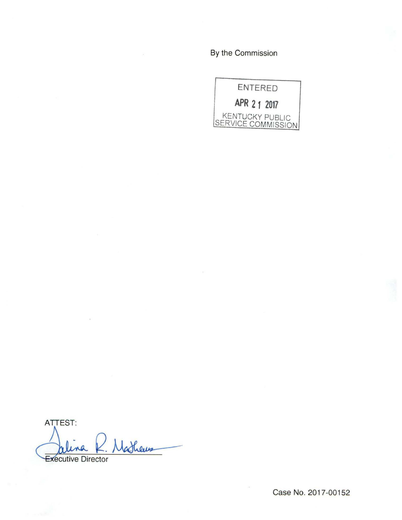By the Commission



ATTEST: R. Matheus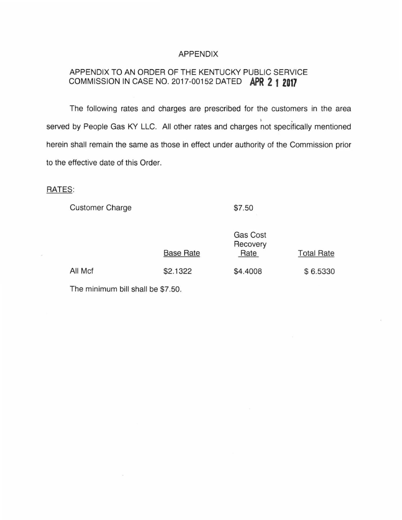#### APPENDIX

# APPENDIX TO AN ORDER OF THE KENTUCKY PUBLIC SERVICE COMMISSION IN CASE NO. 2017-00152 DATED **APR 2 1 Z017**

The following rates and charges are prescribed for the customers in the area <sup>~</sup>. served by People Gas KY LLC. All other rates and charges not specifically mentioned herein shall remain the same as those in effect under authority of the Commission prior to the effective date of this Order.

## RATES:

Customer Charge

\$7.50

|         | Gas Cost<br>Recovery<br><b>Base Rate</b><br>Rate |          | <b>Total Rate</b> |
|---------|--------------------------------------------------|----------|-------------------|
| All Mcf | \$2.1322                                         | \$4.4008 | \$6.5330          |

The minimum bill shall be \$7.50.